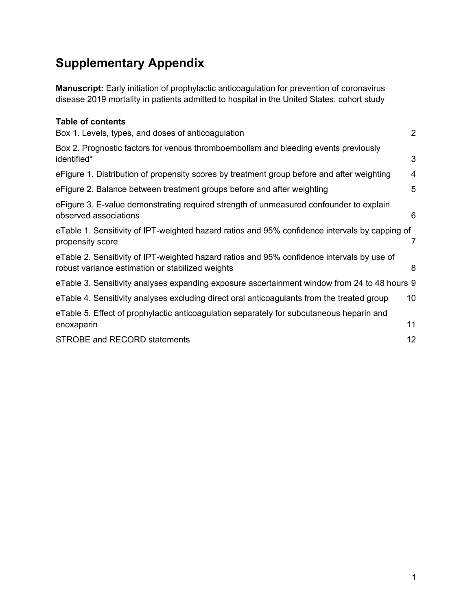# **Supplementary Appendix**

**Manuscript:** Early initiation of prophylactic anticoagulation for prevention of coronavirus disease 2019 mortality in patients admitted to hospital in the United States: cohort study

| <b>Table of contents</b>                                                                                                                       |                |
|------------------------------------------------------------------------------------------------------------------------------------------------|----------------|
| Box 1. Levels, types, and doses of anticoagulation                                                                                             | $\overline{2}$ |
| Box 2. Prognostic factors for venous thromboembolism and bleeding events previously<br>identified*                                             | 3              |
| eFigure 1. Distribution of propensity scores by treatment group before and after weighting                                                     | $\overline{4}$ |
| eFigure 2. Balance between treatment groups before and after weighting                                                                         | 5              |
| eFigure 3. E-value demonstrating required strength of unmeasured confounder to explain<br>observed associations                                | 6              |
| eTable 1. Sensitivity of IPT-weighted hazard ratios and 95% confidence intervals by capping of<br>propensity score                             | 7              |
| eTable 2. Sensitivity of IPT-weighted hazard ratios and 95% confidence intervals by use of<br>robust variance estimation or stabilized weights | 8              |
| eTable 3. Sensitivity analyses expanding exposure ascertainment window from 24 to 48 hours 9                                                   |                |
| eTable 4. Sensitivity analyses excluding direct oral anticoagulants from the treated group                                                     | 10             |
| eTable 5. Effect of prophylactic anticoagulation separately for subcutaneous heparin and<br>enoxaparin                                         | 11             |
| <b>STROBE and RECORD statements</b>                                                                                                            | 12             |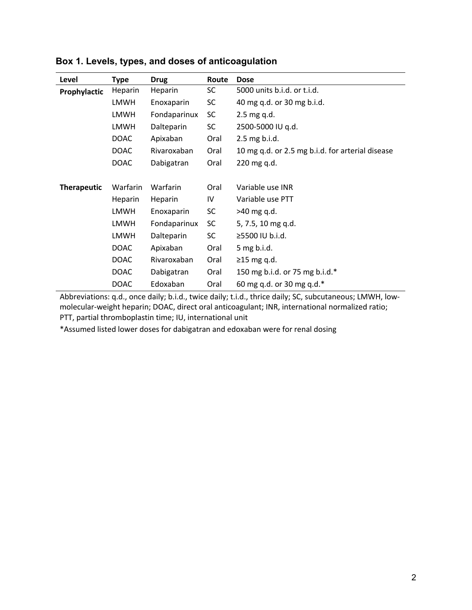| Level              | <b>Type</b> | <b>Drug</b>  | Route     | <b>Dose</b>                                      |
|--------------------|-------------|--------------|-----------|--------------------------------------------------|
| Prophylactic       | Heparin     | Heparin      | <b>SC</b> | 5000 units b.i.d. or t.i.d.                      |
|                    | <b>LMWH</b> | Enoxaparin   | <b>SC</b> | 40 mg q.d. or 30 mg b.i.d.                       |
|                    | LMWH        | Fondaparinux | <b>SC</b> | $2.5$ mg q.d.                                    |
|                    | LMWH        | Dalteparin   | <b>SC</b> | 2500-5000 IU g.d.                                |
|                    | <b>DOAC</b> | Apixaban     | Oral      | 2.5 mg b.i.d.                                    |
|                    | <b>DOAC</b> | Rivaroxaban  | Oral      | 10 mg q.d. or 2.5 mg b.i.d. for arterial disease |
|                    | <b>DOAC</b> | Dabigatran   | Oral      | 220 mg q.d.                                      |
|                    |             |              |           |                                                  |
| <b>Therapeutic</b> | Warfarin    | Warfarin     | Oral      | Variable use INR                                 |
|                    | Heparin     | Heparin      | IV        | Variable use PTT                                 |
|                    | LMWH        | Enoxaparin   | <b>SC</b> | $>40$ mg q.d.                                    |
|                    | LMWH        | Fondaparinux | SC.       | 5, 7.5, 10 mg q.d.                               |
|                    | <b>LMWH</b> | Dalteparin   | <b>SC</b> | ≥5500 IU b.i.d.                                  |
|                    | <b>DOAC</b> | Apixaban     | Oral      | $5$ mg b.i.d.                                    |
|                    | <b>DOAC</b> | Rivaroxaban  | Oral      | $\geq$ 15 mg q.d.                                |
|                    | <b>DOAC</b> | Dabigatran   | Oral      | 150 mg b.i.d. or 75 mg b.i.d.*                   |
|                    | <b>DOAC</b> | Edoxaban     | Oral      | 60 mg q.d. or 30 mg q.d.*                        |

**Box 1. Levels, types, and doses of anticoagulation**

Abbreviations: q.d., once daily; b.i.d., twice daily; t.i.d., thrice daily; SC, subcutaneous; LMWH, lowmolecular-weight heparin; DOAC, direct oral anticoagulant; INR, international normalized ratio; PTT, partial thromboplastin time; IU, international unit

\*Assumed listed lower doses for dabigatran and edoxaban were for renal dosing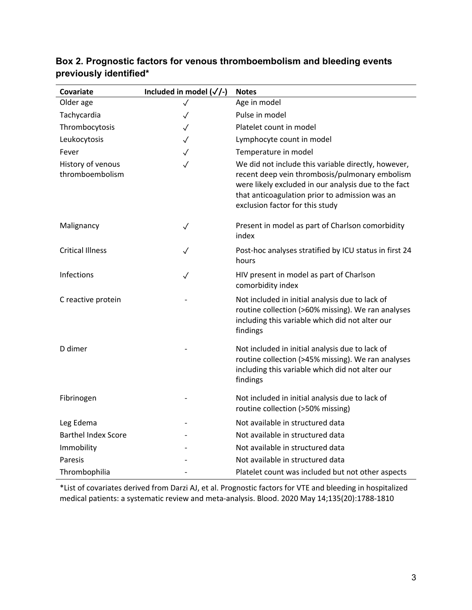| Covariate                            | Included in model $(\sqrt{2})$ | <b>Notes</b>                                                                                                                                                                                                                                       |
|--------------------------------------|--------------------------------|----------------------------------------------------------------------------------------------------------------------------------------------------------------------------------------------------------------------------------------------------|
| Older age                            | ✓                              | Age in model                                                                                                                                                                                                                                       |
| Tachycardia                          | $\checkmark$                   | Pulse in model                                                                                                                                                                                                                                     |
| Thrombocytosis                       | $\checkmark$                   | Platelet count in model                                                                                                                                                                                                                            |
| Leukocytosis                         | $\checkmark$                   | Lymphocyte count in model                                                                                                                                                                                                                          |
| Fever                                | $\checkmark$                   | Temperature in model                                                                                                                                                                                                                               |
| History of venous<br>thromboembolism | $\checkmark$                   | We did not include this variable directly, however,<br>recent deep vein thrombosis/pulmonary embolism<br>were likely excluded in our analysis due to the fact<br>that anticoagulation prior to admission was an<br>exclusion factor for this study |
| Malignancy                           | $\checkmark$                   | Present in model as part of Charlson comorbidity<br>index                                                                                                                                                                                          |
| <b>Critical Illness</b>              | ✓                              | Post-hoc analyses stratified by ICU status in first 24<br>hours                                                                                                                                                                                    |
| Infections                           | ✓                              | HIV present in model as part of Charlson<br>comorbidity index                                                                                                                                                                                      |
| C reactive protein                   |                                | Not included in initial analysis due to lack of<br>routine collection (>60% missing). We ran analyses<br>including this variable which did not alter our<br>findings                                                                               |
| D dimer                              |                                | Not included in initial analysis due to lack of<br>routine collection (>45% missing). We ran analyses<br>including this variable which did not alter our<br>findings                                                                               |
| Fibrinogen                           |                                | Not included in initial analysis due to lack of<br>routine collection (>50% missing)                                                                                                                                                               |
| Leg Edema                            |                                | Not available in structured data                                                                                                                                                                                                                   |
| <b>Barthel Index Score</b>           |                                | Not available in structured data                                                                                                                                                                                                                   |
| Immobility                           |                                | Not available in structured data                                                                                                                                                                                                                   |
| Paresis                              |                                | Not available in structured data                                                                                                                                                                                                                   |
| Thrombophilia                        |                                | Platelet count was included but not other aspects                                                                                                                                                                                                  |

#### **Box 2. Prognostic factors for venous thromboembolism and bleeding events previously identified\***

\*List of covariates derived from Darzi AJ, et al. Prognostic factors for VTE and bleeding in hospitalized medical patients: a systematic review and meta-analysis. Blood. 2020 May 14;135(20):1788-1810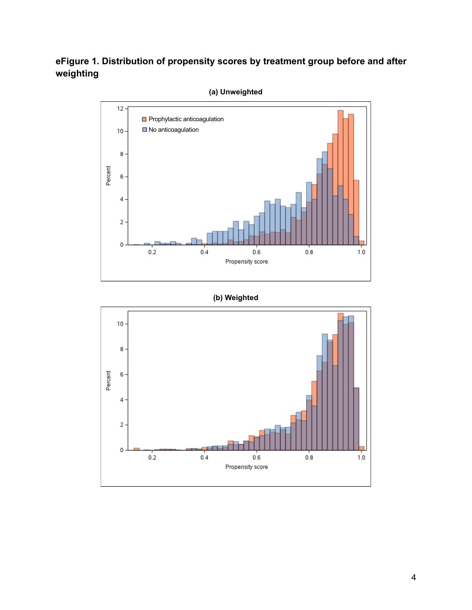## **eFigure 1. Distribution of propensity scores by treatment group before and after weighting**



#### **(a) Unweighted**

#### **(b) Weighted**

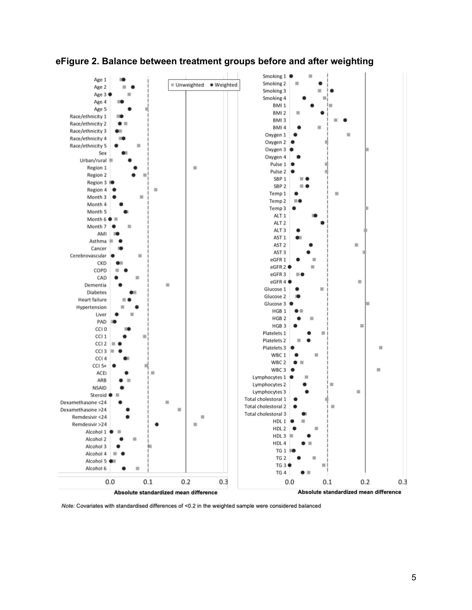

#### **eFigure 2. Balance between treatment groups before and after weighting**

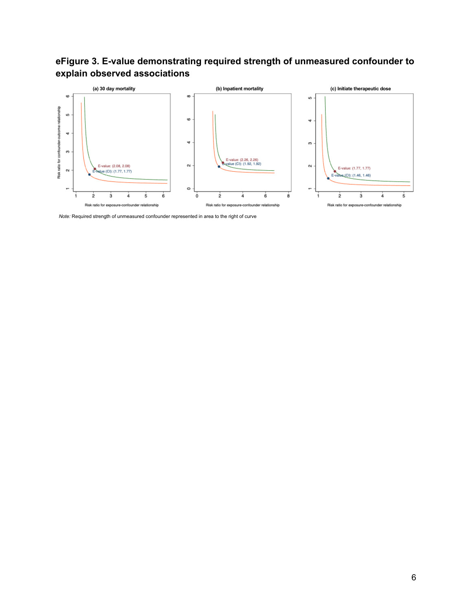



*Note:* Required strength of unmeasured confounder represented in area to the right of curve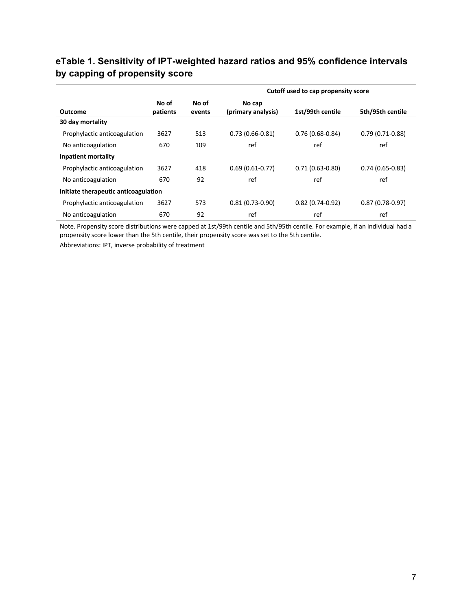#### **eTable 1. Sensitivity of IPT-weighted hazard ratios and 95% confidence intervals by capping of propensity score**

|                                      |                   |                 |                              | Cutoff used to cap propensity score |                   |
|--------------------------------------|-------------------|-----------------|------------------------------|-------------------------------------|-------------------|
| <b>Outcome</b>                       | No of<br>patients | No of<br>events | No cap<br>(primary analysis) | 1st/99th centile                    | 5th/95th centile  |
| 30 day mortality                     |                   |                 |                              |                                     |                   |
| Prophylactic anticoagulation         | 3627              | 513             | $0.73(0.66-0.81)$            | $0.76(0.68-0.84)$                   | $0.79(0.71-0.88)$ |
| No anticoagulation                   | 670               | 109             | ref                          | ref                                 | ref               |
| <b>Inpatient mortality</b>           |                   |                 |                              |                                     |                   |
| Prophylactic anticoagulation         | 3627              | 418             | $0.69(0.61-0.77)$            | $0.71(0.63 - 0.80)$                 | $0.74(0.65-0.83)$ |
| No anticoagulation                   | 670               | 92              | ref                          | ref                                 | ref               |
| Initiate therapeutic anticoagulation |                   |                 |                              |                                     |                   |
| Prophylactic anticoagulation         | 3627              | 573             | $0.81(0.73-0.90)$            | $0.82(0.74-0.92)$                   | $0.87(0.78-0.97)$ |
| No anticoagulation                   | 670               | 92              | ref                          | ref                                 | ref               |

Note. Propensity score distributions were capped at 1st/99th centile and 5th/95th centile. For example, if an individual had a propensity score lower than the 5th centile, their propensity score was set to the 5th centile.

Abbreviations: IPT, inverse probability of treatment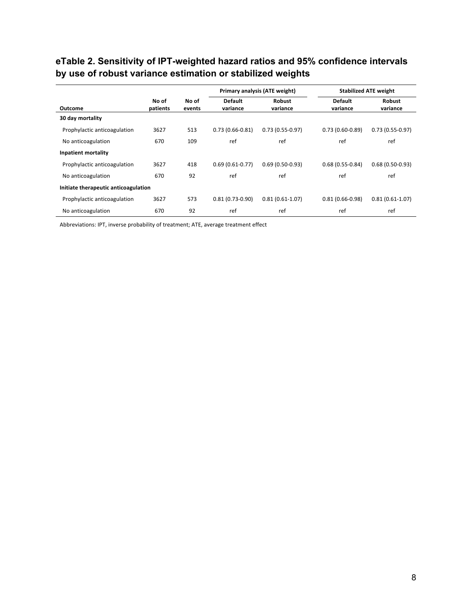## **eTable 2. Sensitivity of IPT-weighted hazard ratios and 95% confidence intervals by use of robust variance estimation or stabilized weights**

|                                      |                   |                 |                            | Primary analysis (ATE weight) |                            | <b>Stabilized ATE weight</b> |  |
|--------------------------------------|-------------------|-----------------|----------------------------|-------------------------------|----------------------------|------------------------------|--|
| Outcome                              | No of<br>patients | No of<br>events | <b>Default</b><br>variance | <b>Robust</b><br>variance     | <b>Default</b><br>variance | Robust<br>variance           |  |
| 30 day mortality                     |                   |                 |                            |                               |                            |                              |  |
| Prophylactic anticoagulation         | 3627              | 513             | $0.73(0.66-0.81)$          | $0.73(0.55-0.97)$             | $0.73(0.60-0.89)$          | $0.73(0.55-0.97)$            |  |
| No anticoagulation                   | 670               | 109             | ref                        | ref                           | ref                        | ref                          |  |
| Inpatient mortality                  |                   |                 |                            |                               |                            |                              |  |
| Prophylactic anticoagulation         | 3627              | 418             | $0.69(0.61-0.77)$          | $0.69(0.50-0.93)$             | $0.68(0.55-0.84)$          | $0.68(0.50-0.93)$            |  |
| No anticoagulation                   | 670               | 92              | ref                        | ref                           | ref                        | ref                          |  |
| Initiate therapeutic anticoagulation |                   |                 |                            |                               |                            |                              |  |
| Prophylactic anticoagulation         | 3627              | 573             | $0.81(0.73-0.90)$          | $0.81(0.61-1.07)$             | $0.81(0.66-0.98)$          | $0.81(0.61-1.07)$            |  |
| No anticoagulation                   | 670               | 92              | ref                        | ref                           | ref                        | ref                          |  |

Abbreviations: IPT, inverse probability of treatment; ATE, average treatment effect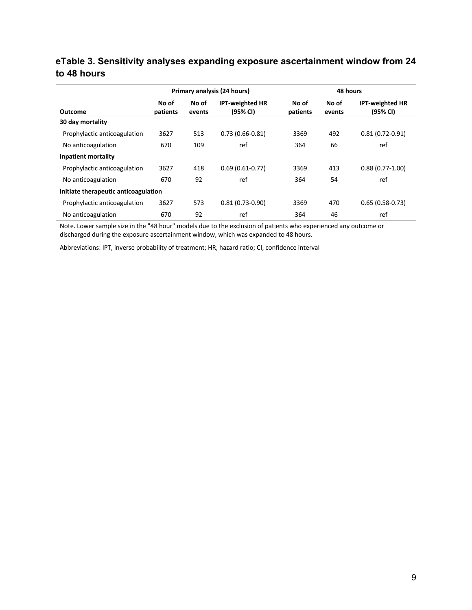#### **eTable 3. Sensitivity analyses expanding exposure ascertainment window from 24 to 48 hours**

|                                      | Primary analysis (24 hours) |                 |                                    | 48 hours          |                 |                                    |
|--------------------------------------|-----------------------------|-----------------|------------------------------------|-------------------|-----------------|------------------------------------|
| Outcome                              | No of<br>patients           | No of<br>events | <b>IPT-weighted HR</b><br>(95% CI) | No of<br>patients | No of<br>events | <b>IPT-weighted HR</b><br>(95% CI) |
| 30 day mortality                     |                             |                 |                                    |                   |                 |                                    |
| Prophylactic anticoagulation         | 3627                        | 513             | $0.73(0.66-0.81)$                  | 3369              | 492             | $0.81(0.72 - 0.91)$                |
| No anticoagulation                   | 670                         | 109             | ref                                | 364               | 66              | ref                                |
| Inpatient mortality                  |                             |                 |                                    |                   |                 |                                    |
| Prophylactic anticoagulation         | 3627                        | 418             | $0.69(0.61-0.77)$                  | 3369              | 413             | $0.88(0.77-1.00)$                  |
| No anticoagulation                   | 670                         | 92              | ref                                | 364               | 54              | ref                                |
| Initiate therapeutic anticoagulation |                             |                 |                                    |                   |                 |                                    |
| Prophylactic anticoagulation         | 3627                        | 573             | $0.81(0.73-0.90)$                  | 3369              | 470             | $0.65(0.58-0.73)$                  |
| No anticoagulation                   | 670                         | 92              | ref                                | 364               | 46              | ref                                |

Note. Lower sample size in the "48 hour" models due to the exclusion of patients who experienced any outcome or discharged during the exposure ascertainment window, which was expanded to 48 hours.

Abbreviations: IPT, inverse probability of treatment; HR, hazard ratio; CI, confidence interval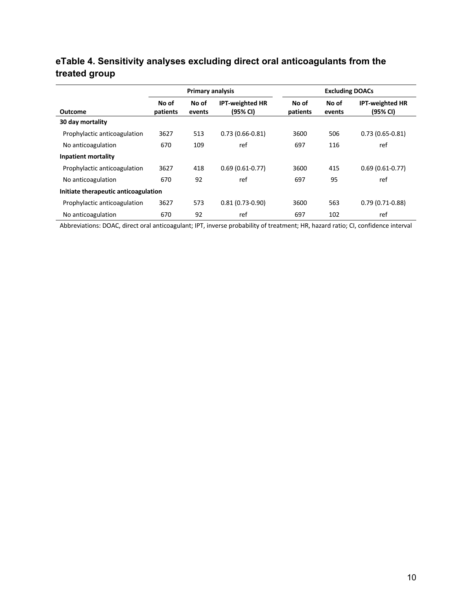# **eTable 4. Sensitivity analyses excluding direct oral anticoagulants from the treated group**

|                                      | <b>Primary analysis</b> |                 |                                    | <b>Excluding DOACs</b> |                 |                                    |  |
|--------------------------------------|-------------------------|-----------------|------------------------------------|------------------------|-----------------|------------------------------------|--|
| <b>Outcome</b>                       | No of<br>patients       | No of<br>events | <b>IPT-weighted HR</b><br>(95% CI) | No of<br>patients      | No of<br>events | <b>IPT-weighted HR</b><br>(95% CI) |  |
| 30 day mortality                     |                         |                 |                                    |                        |                 |                                    |  |
| Prophylactic anticoagulation         | 3627                    | 513             | $0.73(0.66 - 0.81)$                | 3600                   | 506             | $0.73(0.65 - 0.81)$                |  |
| No anticoagulation                   | 670                     | 109             | ref                                | 697                    | 116             | ref                                |  |
| Inpatient mortality                  |                         |                 |                                    |                        |                 |                                    |  |
| Prophylactic anticoagulation         | 3627                    | 418             | $0.69(0.61 - 0.77)$                | 3600                   | 415             | $0.69(0.61-0.77)$                  |  |
| No anticoagulation                   | 670                     | 92              | ref                                | 697                    | 95              | ref                                |  |
| Initiate therapeutic anticoagulation |                         |                 |                                    |                        |                 |                                    |  |
| Prophylactic anticoagulation         | 3627                    | 573             | $0.81(0.73-0.90)$                  | 3600                   | 563             | $0.79(0.71-0.88)$                  |  |
| No anticoagulation                   | 670                     | 92              | ref                                | 697                    | 102             | ref                                |  |

Abbreviations: DOAC, direct oral anticoagulant; IPT, inverse probability of treatment; HR, hazard ratio; CI, confidence interval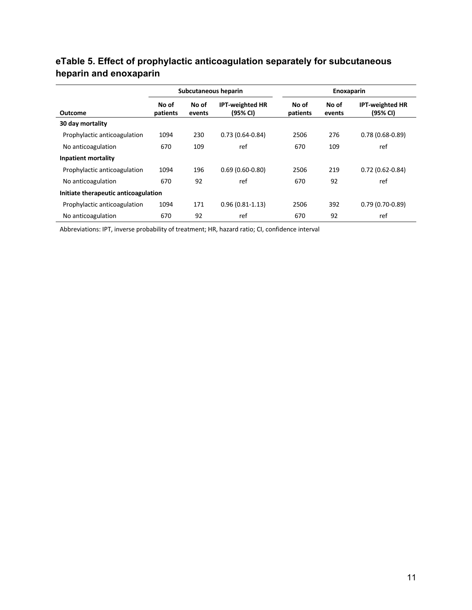## **eTable 5. Effect of prophylactic anticoagulation separately for subcutaneous heparin and enoxaparin**

|                              | Subcutaneous heparin                 |                 |                                    |                   | Enoxaparin      |                                    |  |
|------------------------------|--------------------------------------|-----------------|------------------------------------|-------------------|-----------------|------------------------------------|--|
| <b>Outcome</b>               | No of<br>patients                    | No of<br>events | <b>IPT-weighted HR</b><br>(95% CI) | No of<br>patients | No of<br>events | <b>IPT-weighted HR</b><br>(95% CI) |  |
| 30 day mortality             |                                      |                 |                                    |                   |                 |                                    |  |
| Prophylactic anticoagulation | 1094                                 | 230             | $0.73(0.64 - 0.84)$                | 2506              | 276             | $0.78(0.68-0.89)$                  |  |
| No anticoagulation           | 670                                  | 109             | ref                                | 670               | 109             | ref                                |  |
| <b>Inpatient mortality</b>   |                                      |                 |                                    |                   |                 |                                    |  |
| Prophylactic anticoagulation | 1094                                 | 196             | $0.69(0.60-0.80)$                  | 2506              | 219             | $0.72(0.62 - 0.84)$                |  |
| No anticoagulation           | 670                                  | 92              | ref                                | 670               | 92              | ref                                |  |
|                              | Initiate therapeutic anticoagulation |                 |                                    |                   |                 |                                    |  |
| Prophylactic anticoagulation | 1094                                 | 171             | $0.96(0.81 - 1.13)$                | 2506              | 392             | $0.79(0.70-0.89)$                  |  |
| No anticoagulation           | 670                                  | 92              | ref                                | 670               | 92              | ref                                |  |

Abbreviations: IPT, inverse probability of treatment; HR, hazard ratio; CI, confidence interval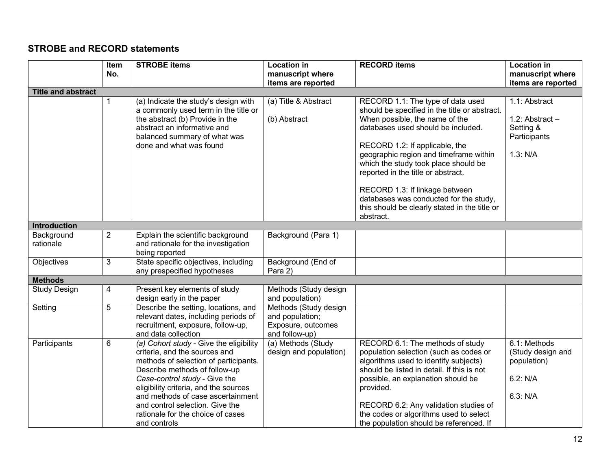## **STROBE and RECORD statements**

|                           | <b>Item</b>    | <b>STROBE items</b>                                                                                                                                                                                                                                                                                                                                       | <b>Location in</b>                                                               | <b>RECORD items</b>                                                                                                                                                                                                                                                                                                                                                                                                                               | <b>Location in</b>                                                          |
|---------------------------|----------------|-----------------------------------------------------------------------------------------------------------------------------------------------------------------------------------------------------------------------------------------------------------------------------------------------------------------------------------------------------------|----------------------------------------------------------------------------------|---------------------------------------------------------------------------------------------------------------------------------------------------------------------------------------------------------------------------------------------------------------------------------------------------------------------------------------------------------------------------------------------------------------------------------------------------|-----------------------------------------------------------------------------|
|                           | No.            |                                                                                                                                                                                                                                                                                                                                                           | manuscript where                                                                 |                                                                                                                                                                                                                                                                                                                                                                                                                                                   | manuscript where                                                            |
|                           |                |                                                                                                                                                                                                                                                                                                                                                           | items are reported                                                               |                                                                                                                                                                                                                                                                                                                                                                                                                                                   | items are reported                                                          |
| <b>Title and abstract</b> |                |                                                                                                                                                                                                                                                                                                                                                           |                                                                                  |                                                                                                                                                                                                                                                                                                                                                                                                                                                   |                                                                             |
|                           | 1              | (a) Indicate the study's design with<br>a commonly used term in the title or<br>the abstract (b) Provide in the<br>abstract an informative and<br>balanced summary of what was<br>done and what was found                                                                                                                                                 | (a) Title & Abstract<br>(b) Abstract                                             | RECORD 1.1: The type of data used<br>should be specified in the title or abstract.<br>When possible, the name of the<br>databases used should be included.<br>RECORD 1.2: If applicable, the<br>geographic region and timeframe within<br>which the study took place should be<br>reported in the title or abstract.<br>RECORD 1.3: If linkage between<br>databases was conducted for the study,<br>this should be clearly stated in the title or | 1.1: Abstract<br>1.2: Abstract $-$<br>Setting &<br>Participants<br>1.3: N/A |
|                           |                |                                                                                                                                                                                                                                                                                                                                                           |                                                                                  | abstract.                                                                                                                                                                                                                                                                                                                                                                                                                                         |                                                                             |
| Introduction              |                |                                                                                                                                                                                                                                                                                                                                                           |                                                                                  |                                                                                                                                                                                                                                                                                                                                                                                                                                                   |                                                                             |
| Background<br>rationale   | $\overline{2}$ | Explain the scientific background<br>and rationale for the investigation<br>being reported                                                                                                                                                                                                                                                                | Background (Para 1)                                                              |                                                                                                                                                                                                                                                                                                                                                                                                                                                   |                                                                             |
| Objectives                | 3              | State specific objectives, including<br>any prespecified hypotheses                                                                                                                                                                                                                                                                                       | Background (End of<br>Para 2)                                                    |                                                                                                                                                                                                                                                                                                                                                                                                                                                   |                                                                             |
| <b>Methods</b>            |                |                                                                                                                                                                                                                                                                                                                                                           |                                                                                  |                                                                                                                                                                                                                                                                                                                                                                                                                                                   |                                                                             |
| <b>Study Design</b>       | $\overline{4}$ | Present key elements of study<br>design early in the paper                                                                                                                                                                                                                                                                                                | Methods (Study design<br>and population)                                         |                                                                                                                                                                                                                                                                                                                                                                                                                                                   |                                                                             |
| Setting                   | 5              | Describe the setting, locations, and<br>relevant dates, including periods of<br>recruitment, exposure, follow-up,<br>and data collection                                                                                                                                                                                                                  | Methods (Study design<br>and population;<br>Exposure, outcomes<br>and follow-up) |                                                                                                                                                                                                                                                                                                                                                                                                                                                   |                                                                             |
| Participants              | 6              | (a) Cohort study - Give the eligibility<br>criteria, and the sources and<br>methods of selection of participants.<br>Describe methods of follow-up<br>Case-control study - Give the<br>eligibility criteria, and the sources<br>and methods of case ascertainment<br>and control selection. Give the<br>rationale for the choice of cases<br>and controls | (a) Methods (Study<br>design and population)                                     | RECORD 6.1: The methods of study<br>population selection (such as codes or<br>algorithms used to identify subjects)<br>should be listed in detail. If this is not<br>possible, an explanation should be<br>provided.<br>RECORD 6.2: Any validation studies of<br>the codes or algorithms used to select<br>the population should be referenced. If                                                                                                | 6.1: Methods<br>(Study design and<br>population)<br>6.2: N/A<br>6.3: N/A    |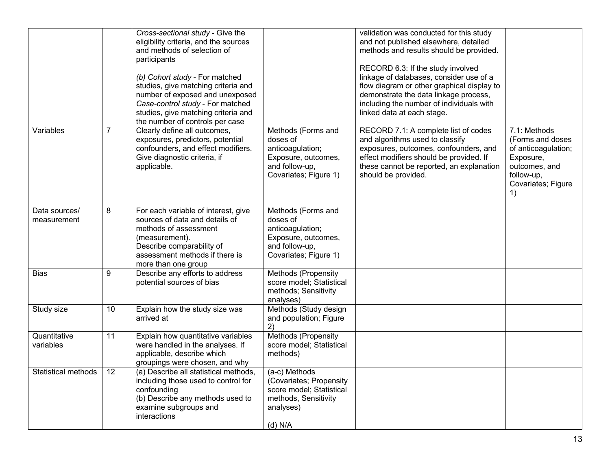|                              |    | Cross-sectional study - Give the<br>eligibility criteria, and the sources<br>and methods of selection of<br>participants<br>(b) Cohort study - For matched<br>studies, give matching criteria and<br>number of exposed and unexposed<br>Case-control study - For matched<br>studies, give matching criteria and<br>the number of controls per case |                                                                                                                        | validation was conducted for this study<br>and not published elsewhere, detailed<br>methods and results should be provided.<br>RECORD 6.3: If the study involved<br>linkage of databases, consider use of a<br>flow diagram or other graphical display to<br>demonstrate the data linkage process,<br>including the number of individuals with<br>linked data at each stage. |                                                                                                                                 |
|------------------------------|----|----------------------------------------------------------------------------------------------------------------------------------------------------------------------------------------------------------------------------------------------------------------------------------------------------------------------------------------------------|------------------------------------------------------------------------------------------------------------------------|------------------------------------------------------------------------------------------------------------------------------------------------------------------------------------------------------------------------------------------------------------------------------------------------------------------------------------------------------------------------------|---------------------------------------------------------------------------------------------------------------------------------|
| Variables                    | 7  | Clearly define all outcomes,<br>exposures, predictors, potential<br>confounders, and effect modifiers.<br>Give diagnostic criteria, if<br>applicable.                                                                                                                                                                                              | Methods (Forms and<br>doses of<br>anticoagulation;<br>Exposure, outcomes,<br>and follow-up,<br>Covariates; Figure 1)   | RECORD 7.1: A complete list of codes<br>and algorithms used to classify<br>exposures, outcomes, confounders, and<br>effect modifiers should be provided. If<br>these cannot be reported, an explanation<br>should be provided.                                                                                                                                               | 7.1: Methods<br>(Forms and doses<br>of anticoagulation;<br>Exposure,<br>outcomes, and<br>follow-up,<br>Covariates; Figure<br>1) |
| Data sources/<br>measurement | 8  | For each variable of interest, give<br>sources of data and details of<br>methods of assessment<br>(measurement).<br>Describe comparability of<br>assessment methods if there is<br>more than one group                                                                                                                                             | Methods (Forms and<br>doses of<br>anticoagulation;<br>Exposure, outcomes,<br>and follow-up,<br>Covariates; Figure 1)   |                                                                                                                                                                                                                                                                                                                                                                              |                                                                                                                                 |
| <b>Bias</b>                  | 9  | Describe any efforts to address<br>potential sources of bias                                                                                                                                                                                                                                                                                       | Methods (Propensity<br>score model; Statistical<br>methods; Sensitivity<br>analyses)                                   |                                                                                                                                                                                                                                                                                                                                                                              |                                                                                                                                 |
| Study size                   | 10 | Explain how the study size was<br>arrived at                                                                                                                                                                                                                                                                                                       | Methods (Study design<br>and population; Figure<br>2)                                                                  |                                                                                                                                                                                                                                                                                                                                                                              |                                                                                                                                 |
| Quantitative<br>variables    | 11 | Explain how quantitative variables<br>were handled in the analyses. If<br>applicable, describe which<br>groupings were chosen, and why                                                                                                                                                                                                             | Methods (Propensity<br>score model; Statistical<br>methods)                                                            |                                                                                                                                                                                                                                                                                                                                                                              |                                                                                                                                 |
| <b>Statistical methods</b>   | 12 | (a) Describe all statistical methods,<br>including those used to control for<br>confounding<br>(b) Describe any methods used to<br>examine subgroups and<br>interactions                                                                                                                                                                           | (a-c) Methods<br>(Covariates; Propensity<br>score model; Statistical<br>methods, Sensitivity<br>analyses)<br>$(d)$ N/A |                                                                                                                                                                                                                                                                                                                                                                              |                                                                                                                                 |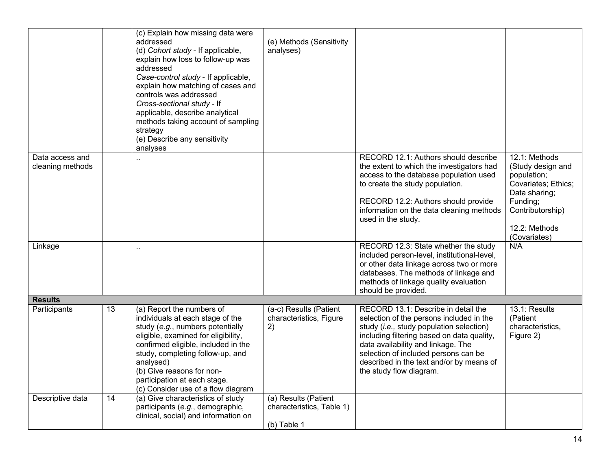|                                     |    | (c) Explain how missing data were<br>addressed<br>(d) Cohort study - If applicable,<br>explain how loss to follow-up was<br>addressed<br>Case-control study - If applicable,<br>explain how matching of cases and<br>controls was addressed<br>Cross-sectional study - If<br>applicable, describe analytical<br>methods taking account of sampling<br>strategy<br>(e) Describe any sensitivity<br>analyses | (e) Methods (Sensitivity<br>analyses)                            |                                                                                                                                                                                                                                                                                                                                |                                                                                                                                                            |
|-------------------------------------|----|------------------------------------------------------------------------------------------------------------------------------------------------------------------------------------------------------------------------------------------------------------------------------------------------------------------------------------------------------------------------------------------------------------|------------------------------------------------------------------|--------------------------------------------------------------------------------------------------------------------------------------------------------------------------------------------------------------------------------------------------------------------------------------------------------------------------------|------------------------------------------------------------------------------------------------------------------------------------------------------------|
| Data access and<br>cleaning methods |    |                                                                                                                                                                                                                                                                                                                                                                                                            |                                                                  | RECORD 12.1: Authors should describe<br>the extent to which the investigators had<br>access to the database population used<br>to create the study population.<br>RECORD 12.2: Authors should provide<br>information on the data cleaning methods<br>used in the study.                                                        | 12.1: Methods<br>(Study design and<br>population;<br>Covariates; Ethics;<br>Data sharing;<br>Funding;<br>Contributorship)<br>12.2: Methods<br>(Covariates) |
| Linkage                             |    | $\ddot{\phantom{a}}$                                                                                                                                                                                                                                                                                                                                                                                       |                                                                  | RECORD 12.3: State whether the study<br>included person-level, institutional-level,<br>or other data linkage across two or more<br>databases. The methods of linkage and<br>methods of linkage quality evaluation<br>should be provided.                                                                                       | N/A                                                                                                                                                        |
| <b>Results</b>                      |    |                                                                                                                                                                                                                                                                                                                                                                                                            |                                                                  |                                                                                                                                                                                                                                                                                                                                |                                                                                                                                                            |
| Participants                        | 13 | (a) Report the numbers of<br>individuals at each stage of the<br>study (e.g., numbers potentially<br>eligible, examined for eligibility,<br>confirmed eligible, included in the<br>study, completing follow-up, and<br>analysed)<br>(b) Give reasons for non-<br>participation at each stage.<br>(c) Consider use of a flow diagram                                                                        | (a-c) Results (Patient<br>characteristics, Figure<br>2)          | RECORD 13.1: Describe in detail the<br>selection of the persons included in the<br>study (i.e., study population selection)<br>including filtering based on data quality,<br>data availability and linkage. The<br>selection of included persons can be<br>described in the text and/or by means of<br>the study flow diagram. | 13.1: Results<br>(Patient<br>characteristics,<br>Figure 2)                                                                                                 |
| Descriptive data                    | 14 | (a) Give characteristics of study<br>participants (e.g., demographic,<br>clinical, social) and information on                                                                                                                                                                                                                                                                                              | (a) Results (Patient<br>characteristics, Table 1)<br>(b) Table 1 |                                                                                                                                                                                                                                                                                                                                |                                                                                                                                                            |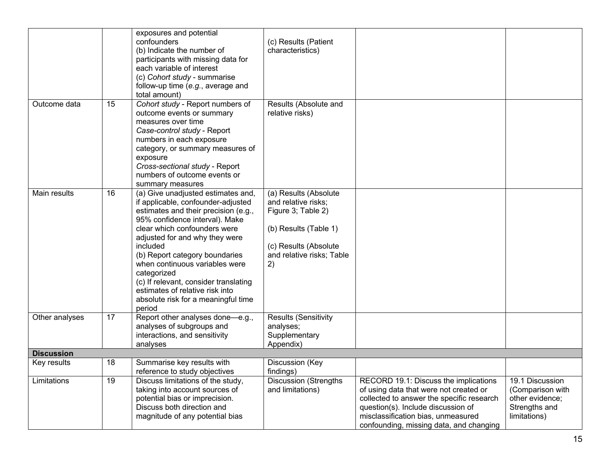|                   |    | exposures and potential<br>confounders<br>(b) Indicate the number of<br>participants with missing data for<br>each variable of interest<br>(c) Cohort study - summarise<br>follow-up time (e.g., average and<br>total amount)                                                                                                                                                                                                                    | (c) Results (Patient<br>characteristics)                                                                                                                |                                                                                                                                                                                                                                                     |                                                                                         |
|-------------------|----|--------------------------------------------------------------------------------------------------------------------------------------------------------------------------------------------------------------------------------------------------------------------------------------------------------------------------------------------------------------------------------------------------------------------------------------------------|---------------------------------------------------------------------------------------------------------------------------------------------------------|-----------------------------------------------------------------------------------------------------------------------------------------------------------------------------------------------------------------------------------------------------|-----------------------------------------------------------------------------------------|
| Outcome data      | 15 | Cohort study - Report numbers of<br>outcome events or summary<br>measures over time<br>Case-control study - Report<br>numbers in each exposure<br>category, or summary measures of<br>exposure<br>Cross-sectional study - Report<br>numbers of outcome events or<br>summary measures                                                                                                                                                             | Results (Absolute and<br>relative risks)                                                                                                                |                                                                                                                                                                                                                                                     |                                                                                         |
| Main results      | 16 | (a) Give unadjusted estimates and,<br>if applicable, confounder-adjusted<br>estimates and their precision (e.g.,<br>95% confidence interval). Make<br>clear which confounders were<br>adjusted for and why they were<br>included<br>(b) Report category boundaries<br>when continuous variables were<br>categorized<br>(c) If relevant, consider translating<br>estimates of relative risk into<br>absolute risk for a meaningful time<br>period | (a) Results (Absolute<br>and relative risks;<br>Figure 3; Table 2)<br>(b) Results (Table 1)<br>(c) Results (Absolute<br>and relative risks; Table<br>2) |                                                                                                                                                                                                                                                     |                                                                                         |
| Other analyses    | 17 | Report other analyses done-e.g.,<br>analyses of subgroups and<br>interactions, and sensitivity<br>analyses                                                                                                                                                                                                                                                                                                                                       | <b>Results (Sensitivity</b><br>analyses;<br>Supplementary<br>Appendix)                                                                                  |                                                                                                                                                                                                                                                     |                                                                                         |
| <b>Discussion</b> |    |                                                                                                                                                                                                                                                                                                                                                                                                                                                  |                                                                                                                                                         |                                                                                                                                                                                                                                                     |                                                                                         |
| Key results       | 18 | Summarise key results with<br>reference to study objectives                                                                                                                                                                                                                                                                                                                                                                                      | Discussion (Key<br>findings)                                                                                                                            |                                                                                                                                                                                                                                                     |                                                                                         |
| Limitations       | 19 | Discuss limitations of the study,<br>taking into account sources of<br>potential bias or imprecision.<br>Discuss both direction and<br>magnitude of any potential bias                                                                                                                                                                                                                                                                           | Discussion (Strengths<br>and limitations)                                                                                                               | RECORD 19.1: Discuss the implications<br>of using data that were not created or<br>collected to answer the specific research<br>question(s). Include discussion of<br>misclassification bias, unmeasured<br>confounding, missing data, and changing | 19.1 Discussion<br>(Comparison with<br>other evidence;<br>Strengths and<br>limitations) |